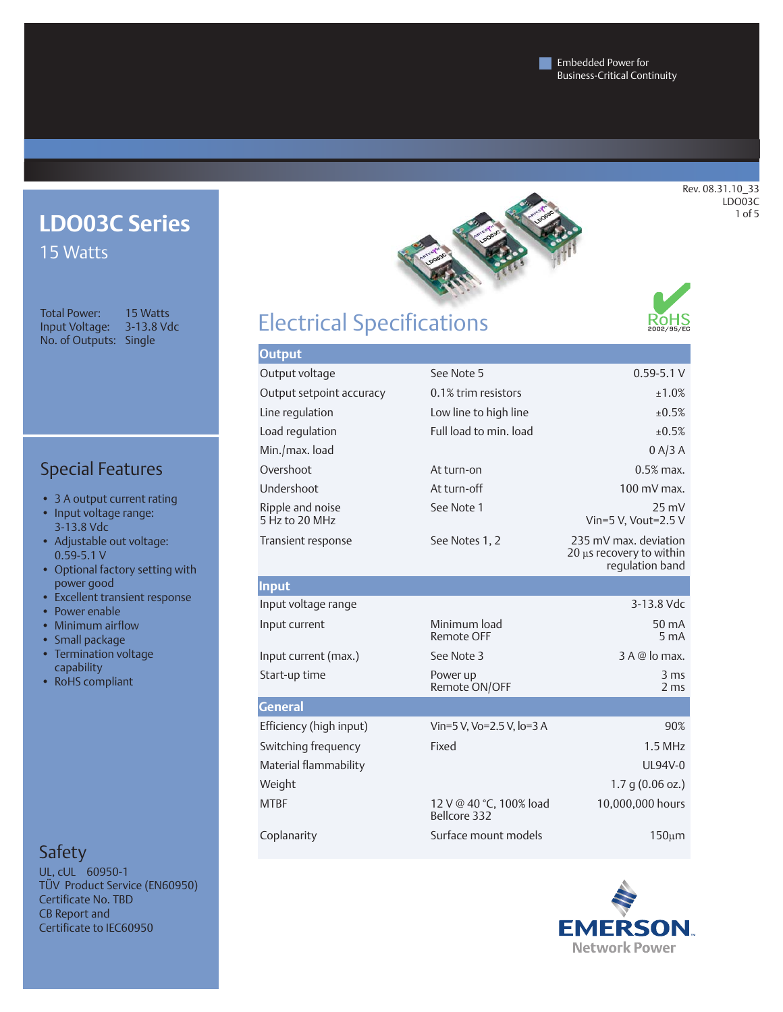## **LDO03C Series**  15 Watts

Total Power: 15 Watts Input Voltage: 3-13.8 Vdc No. of Outputs: Single

Special Features

- 3 A output current rating
- Input voltage range: 3-13.8 Vdc
- • Adjustable out voltage: 0.59-5.1 V
- • Optional factory setting with power good
- Excellent transient response
- Power enable
- Minimum airflow
- Small package
- Termination voltage capability
- RoHS compliant

## Safety

UL, cUL 60950-1 TÜV Product Service (EN60950) Certificate No. TBD CB Report and Certificate to IEC60950



# Electrical Specifications



| <b>Output</b>                      |                                         |                                                                      |  |  |
|------------------------------------|-----------------------------------------|----------------------------------------------------------------------|--|--|
| Output voltage                     | See Note 5                              | $0.59 - 5.1 V$                                                       |  |  |
| Output setpoint accuracy           | 0.1% trim resistors                     | ±1.0%                                                                |  |  |
| Line regulation                    | Low line to high line                   | ±0.5%                                                                |  |  |
| Load regulation                    | Full load to min. load                  | $+0.5%$                                                              |  |  |
| Min./max. load                     |                                         | 0 A/3 A                                                              |  |  |
| Overshoot                          | At turn-on                              | $0.5%$ max.                                                          |  |  |
| Undershoot                         | At turn-off                             | $100 \text{ mV}$ max.                                                |  |  |
| Ripple and noise<br>5 Hz to 20 MHz | See Note 1                              | $25 \text{ mV}$<br>Vin=5 V. Vout=2.5 V                               |  |  |
| Transient response                 | See Notes 1, 2                          | 235 mV max. deviation<br>20 µs recovery to within<br>regulation band |  |  |
| Input                              |                                         |                                                                      |  |  |
| Input voltage range                |                                         | 3-13.8 Vdc                                                           |  |  |
| Input current                      | Minimum load<br><b>Remote OFF</b>       | 50 mA<br>5 <sub>m</sub> A                                            |  |  |
| Input current (max.)               | See Note 3                              | 3 A @ lo max.                                                        |  |  |
| Start-up time                      | Power up<br>Remote ON/OFF               | 3 <sub>ms</sub><br>2 <sub>ms</sub>                                   |  |  |
| <b>General</b>                     |                                         |                                                                      |  |  |
| Efficiency (high input)            | Vin=5 V, Vo=2.5 V, lo=3 A               | 90%                                                                  |  |  |
| Switching frequency                | Fixed                                   | 1.5 MHz                                                              |  |  |
| Material flammability              |                                         | UL94V-0                                                              |  |  |
| Weight                             |                                         | $1.7$ q (0.06 oz.)                                                   |  |  |
| <b>MTBF</b>                        | 12 V @ 40 °C, 100% load<br>Bellcore 332 | 10,000,000 hours                                                     |  |  |
| Coplanarity                        | Surface mount models                    | 150 <sub>µ</sub> m                                                   |  |  |

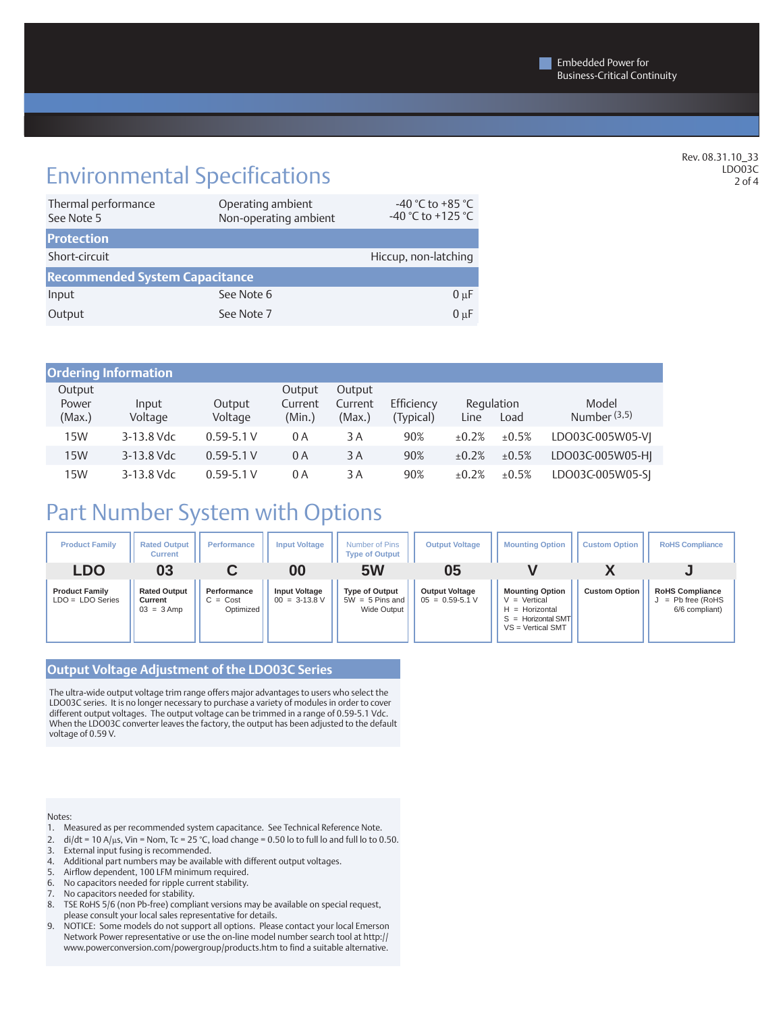## Environmental Specifications

| Thermal performance<br>See Note 5     | Operating ambient<br>Non-operating ambient | -40 °C to +85 °C<br>-40 °C to +125 °C |  |  |  |  |
|---------------------------------------|--------------------------------------------|---------------------------------------|--|--|--|--|
| <b>Protection</b>                     |                                            |                                       |  |  |  |  |
| Short-circuit                         |                                            | Hiccup, non-latching                  |  |  |  |  |
| <b>Recommended System Capacitance</b> |                                            |                                       |  |  |  |  |
| Input                                 | See Note 6                                 | $0 \mu F$                             |  |  |  |  |
| Output                                | See Note 7                                 | $0 \mu F$                             |  |  |  |  |

| <b>Ordering Information</b> |                  |                   |                             |                             |                         |             |                    |                         |
|-----------------------------|------------------|-------------------|-----------------------------|-----------------------------|-------------------------|-------------|--------------------|-------------------------|
| Output<br>Power<br>(Max.)   | Input<br>Voltage | Output<br>Voltage | Output<br>Current<br>(Min.) | Output<br>Current<br>(Max.) | Efficiency<br>(Typical) | Line        | Regulation<br>Load | Model<br>Number $(3,5)$ |
| 15W                         | 3-13.8 Vdc       | $0.59 - 5.1 V$    | 0 A                         | 3 A                         | 90%                     | $\pm 0.2\%$ | ±0.5%              | LDO03C-005W05-VI        |
| 15W                         | 3-13.8 Vdc       | $0.59 - 5.1 V$    | 0A                          | 3 A                         | 90%                     | ±0.2%       | ±0.5%              | LDO03C-005W05-HI        |
| 15W                         | 3-13.8 Vdc       | $0.59 - 5.1 V$    | 0 A                         | 3 A                         | 90%                     | ±0.2%       | ±0.5%              | LDO03C-005W05-SI        |

## Part Number System with Options

| <b>Product Family</b>                       | <b>Rated Output</b><br><b>Current</b>          | Performance                            | <b>Input Voltage</b>                    | Number of Pins<br><b>Type of Output</b>                   | <b>Output Voltage</b>                        | <b>Mounting Option</b>                                                                                      | <b>Custom Option</b> | <b>RoHS Compliance</b>                                        |
|---------------------------------------------|------------------------------------------------|----------------------------------------|-----------------------------------------|-----------------------------------------------------------|----------------------------------------------|-------------------------------------------------------------------------------------------------------------|----------------------|---------------------------------------------------------------|
| LDO                                         | 03                                             |                                        | 00                                      | 5W                                                        | 05                                           |                                                                                                             |                      |                                                               |
| <b>Product Family</b><br>$LDO = LDO Series$ | <b>Rated Output</b><br>Current<br>$03 = 3$ Amp | Performance<br>$C = Cost$<br>Optimized | <b>Input Voltage</b><br>$00 = 3-13.8$ V | <b>Type of Output</b><br>$5W = 5$ Pins and<br>Wide Output | <b>Output Voltage</b><br>$05 = 0.59 - 5.1 V$ | <b>Mounting Option</b><br>$V = Vertical$<br>$H =$ Horizontal<br>$S =$ Horizontal SMT<br>$VS = Vertical SMT$ | <b>Custom Option</b> | <b>RoHS Compliance</b><br>$=$ Pb free (RoHS<br>6/6 compliant) |

### **Output Voltage Adjustment of the LDO03C Series**

The ultra-wide output voltage trim range offers major advantages to users who select the LDO03C series. It is no longer necessary to purchase a variety of modules in order to cover different output voltages. The output voltage can be trimmed in a range of 0.59-5.1 Vdc. When the LDO03C converter leaves the factory, the output has been adjusted to the default voltage of 0.59 V.

#### Notes:

- 1. Measured as per recommended system capacitance. See Technical Reference Note.
- 2.  $di/dt = 10$  A/ $\mu$ s, Vin = Nom, Tc = 25 °C, load change = 0.50 lo to full lo and full lo to 0.50.
- 3. External input fusing is recommended.
- 4. Additional part numbers may be available with different output voltages.
- 
- 5. Airflow dependent, 100 LFM minimum required.<br>6. No capacitors needed for ripple current stability. No capacitors needed for ripple current stability.
- 7. No capacitors needed for stability.
- 
- 8. TSE RoHS 5/6 (non Pb-free) compliant versions may be available on special request, please consult your local sales representative for details.
- 9. NOTICE: Some models do not support all options. Please contact your local Emerson Network Power representative or use the on-line model number search tool at http:// www.powerconversion.com/powergroup/products.htm to find a suitable alternative.

Rev. 08.31.10\_33 LDO03C 2 of 4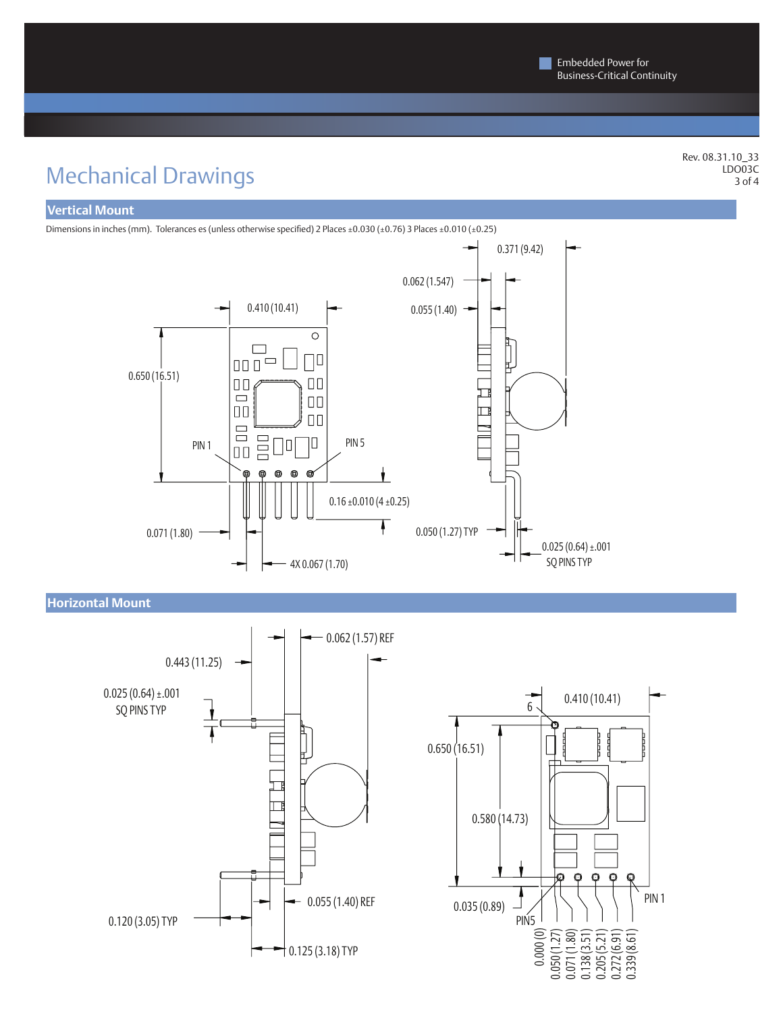# Mechanical Drawings

Rev. 08.31.10\_33 LDO03C 3 of 4

### **Vertical Mount**

Dimensions in inches (mm). Tolerances es (unless otherwise specified) 2 Places ±0.030 (±0.76) 3 Places ±0.010 (±0.25)



**Horizontal Mount**